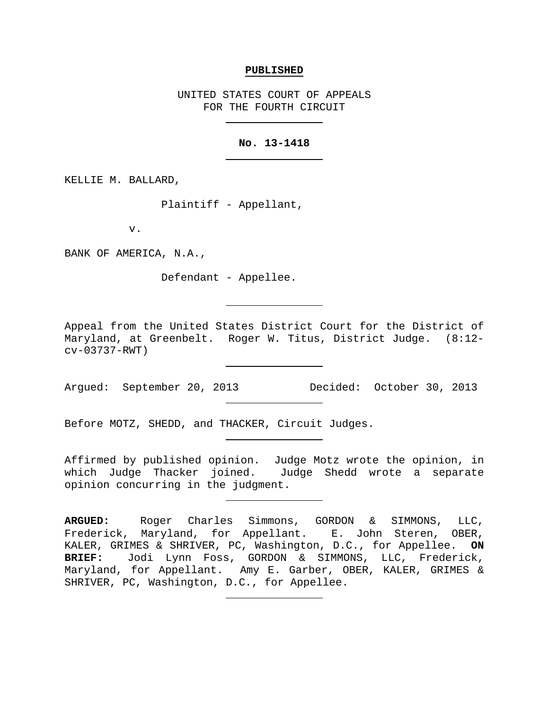### **PUBLISHED**

UNITED STATES COURT OF APPEALS FOR THE FOURTH CIRCUIT

## **No. 13-1418**

KELLIE M. BALLARD,

Plaintiff - Appellant,

v.

BANK OF AMERICA, N.A.,

Defendant - Appellee.

Appeal from the United States District Court for the District of Maryland, at Greenbelt. Roger W. Titus, District Judge. (8:12 cv-03737-RWT)

Argued: September 20, 2013 Decided: October 30, 2013

Before MOTZ, SHEDD, and THACKER, Circuit Judges.

Affirmed by published opinion. Judge Motz wrote the opinion, in which Judge Thacker joined. Judge Shedd wrote a separate opinion concurring in the judgment.

**ARGUED:** Roger Charles Simmons, GORDON & SIMMONS, LLC, Frederick, Maryland, for Appellant. E. John Steren, OBER, KALER, GRIMES & SHRIVER, PC, Washington, D.C., for Appellee. **ON BRIEF:** Jodi Lynn Foss, GORDON & SIMMONS, LLC, Frederick, Maryland, for Appellant. Amy E. Garber, OBER, KALER, GRIMES & SHRIVER, PC, Washington, D.C., for Appellee.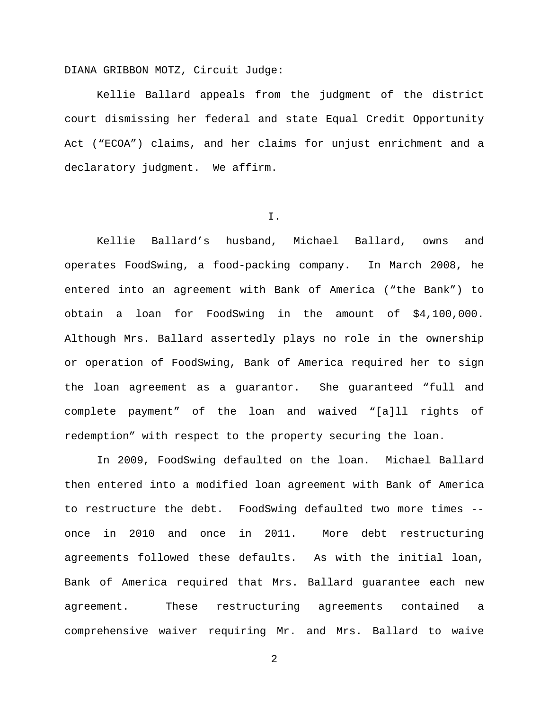DIANA GRIBBON MOTZ, Circuit Judge:

Kellie Ballard appeals from the judgment of the district court dismissing her federal and state Equal Credit Opportunity Act ("ECOA") claims, and her claims for unjust enrichment and a declaratory judgment. We affirm.

I.

Kellie Ballard's husband, Michael Ballard, owns and operates FoodSwing, a food-packing company. In March 2008, he entered into an agreement with Bank of America ("the Bank") to obtain a loan for FoodSwing in the amount of \$4,100,000. Although Mrs. Ballard assertedly plays no role in the ownership or operation of FoodSwing, Bank of America required her to sign the loan agreement as a guarantor. She guaranteed "full and complete payment" of the loan and waived "[a]ll rights of redemption" with respect to the property securing the loan.

In 2009, FoodSwing defaulted on the loan. Michael Ballard then entered into a modified loan agreement with Bank of America to restructure the debt. FoodSwing defaulted two more times - once in 2010 and once in 2011. More debt restructuring agreements followed these defaults. As with the initial loan, Bank of America required that Mrs. Ballard guarantee each new agreement. These restructuring agreements contained a comprehensive waiver requiring Mr. and Mrs. Ballard to waive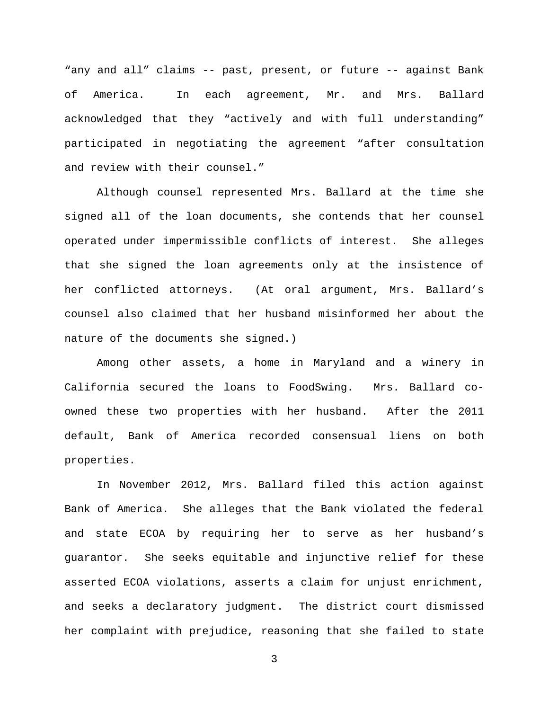"any and all" claims -- past, present, or future -- against Bank of America. In each agreement, Mr. and Mrs. Ballard acknowledged that they "actively and with full understanding" participated in negotiating the agreement "after consultation and review with their counsel."

Although counsel represented Mrs. Ballard at the time she signed all of the loan documents, she contends that her counsel operated under impermissible conflicts of interest. She alleges that she signed the loan agreements only at the insistence of her conflicted attorneys. (At oral argument, Mrs. Ballard's counsel also claimed that her husband misinformed her about the nature of the documents she signed.)

Among other assets, a home in Maryland and a winery in California secured the loans to FoodSwing. Mrs. Ballard coowned these two properties with her husband. After the 2011 default, Bank of America recorded consensual liens on both properties.

In November 2012, Mrs. Ballard filed this action against Bank of America. She alleges that the Bank violated the federal and state ECOA by requiring her to serve as her husband's guarantor. She seeks equitable and injunctive relief for these asserted ECOA violations, asserts a claim for unjust enrichment, and seeks a declaratory judgment. The district court dismissed her complaint with prejudice, reasoning that she failed to state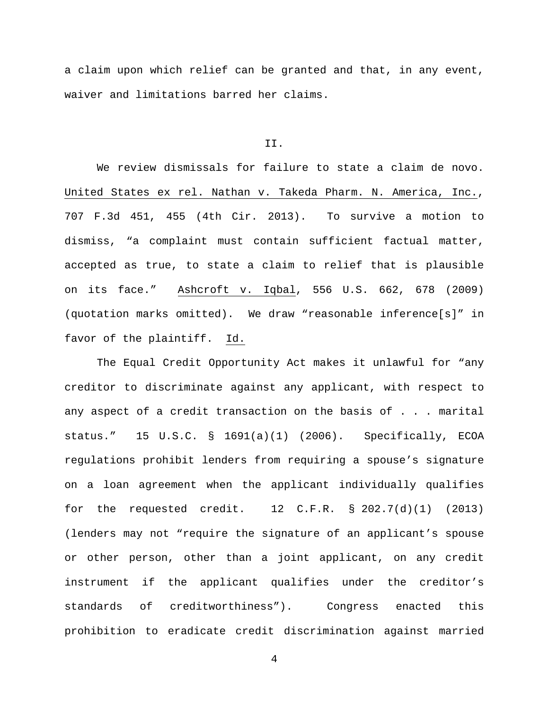a claim upon which relief can be granted and that, in any event, waiver and limitations barred her claims.

### II.

We review dismissals for failure to state a claim de novo. United States ex rel. Nathan v. Takeda Pharm. N. America, Inc., 707 F.3d 451, 455 (4th Cir. 2013). To survive a motion to dismiss, "a complaint must contain sufficient factual matter, accepted as true, to state a claim to relief that is plausible on its face." Ashcroft v. Iqbal, 556 U.S. 662, 678 (2009) (quotation marks omitted). We draw "reasonable inference[s]" in favor of the plaintiff. Id.

The Equal Credit Opportunity Act makes it unlawful for "any creditor to discriminate against any applicant, with respect to any aspect of a credit transaction on the basis of . . . marital status." 15 U.S.C. § 1691(a)(1) (2006). Specifically, ECOA regulations prohibit lenders from requiring a spouse's signature on a loan agreement when the applicant individually qualifies for the requested credit.  $12$  C.F.R. § 202.7(d)(1) (2013) (lenders may not "require the signature of an applicant's spouse or other person, other than a joint applicant, on any credit instrument if the applicant qualifies under the creditor's standards of creditworthiness"). Congress enacted this prohibition to eradicate credit discrimination against married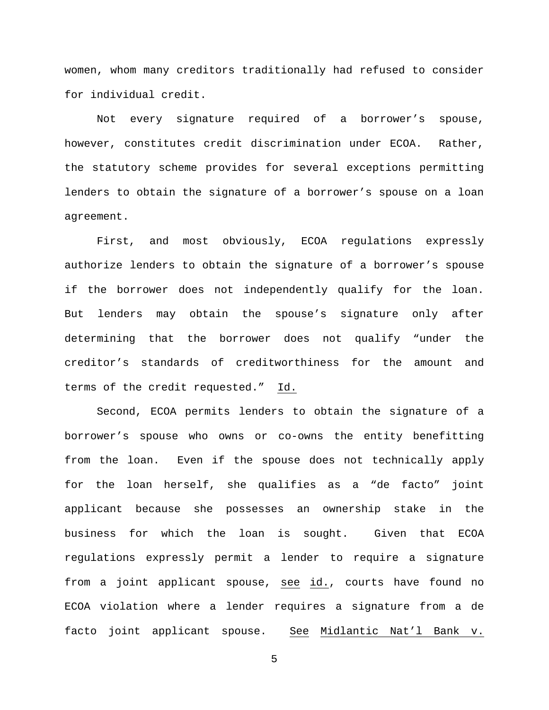women, whom many creditors traditionally had refused to consider for individual credit.

Not every signature required of a borrower's spouse, however, constitutes credit discrimination under ECOA. Rather, the statutory scheme provides for several exceptions permitting lenders to obtain the signature of a borrower's spouse on a loan agreement.

First, and most obviously, ECOA regulations expressly authorize lenders to obtain the signature of a borrower's spouse if the borrower does not independently qualify for the loan. But lenders may obtain the spouse's signature only after determining that the borrower does not qualify "under the creditor's standards of creditworthiness for the amount and terms of the credit requested." Id.

Second, ECOA permits lenders to obtain the signature of a borrower's spouse who owns or co-owns the entity benefitting from the loan. Even if the spouse does not technically apply for the loan herself, she qualifies as a "de facto" joint applicant because she possesses an ownership stake in the business for which the loan is sought. Given that ECOA regulations expressly permit a lender to require a signature from a joint applicant spouse, see id., courts have found no ECOA violation where a lender requires a signature from a de facto joint applicant spouse. See Midlantic Nat'l Bank v.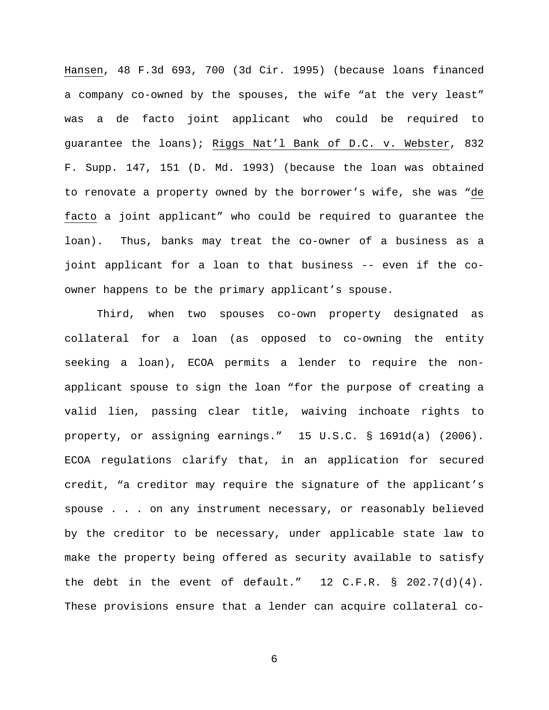Hansen, 48 F.3d 693, 700 (3d Cir. 1995) (because loans financed a company co-owned by the spouses, the wife "at the very least" was a de facto joint applicant who could be required to guarantee the loans); Riggs Nat'l Bank of D.C. v. Webster, 832 F. Supp. 147, 151 (D. Md. 1993) (because the loan was obtained to renovate a property owned by the borrower's wife, she was "de facto a joint applicant" who could be required to guarantee the loan). Thus, banks may treat the co-owner of a business as a joint applicant for a loan to that business -- even if the coowner happens to be the primary applicant's spouse.

Third, when two spouses co-own property designated as collateral for a loan (as opposed to co-owning the entity seeking a loan), ECOA permits a lender to require the nonapplicant spouse to sign the loan "for the purpose of creating a valid lien, passing clear title, waiving inchoate rights to property, or assigning earnings." 15 U.S.C. § 1691d(a) (2006). ECOA regulations clarify that, in an application for secured credit, "a creditor may require the signature of the applicant's spouse . . . on any instrument necessary, or reasonably believed by the creditor to be necessary, under applicable state law to make the property being offered as security available to satisfy the debt in the event of default."  $12$  C.F.R. § 202.7(d)(4). These provisions ensure that a lender can acquire collateral co-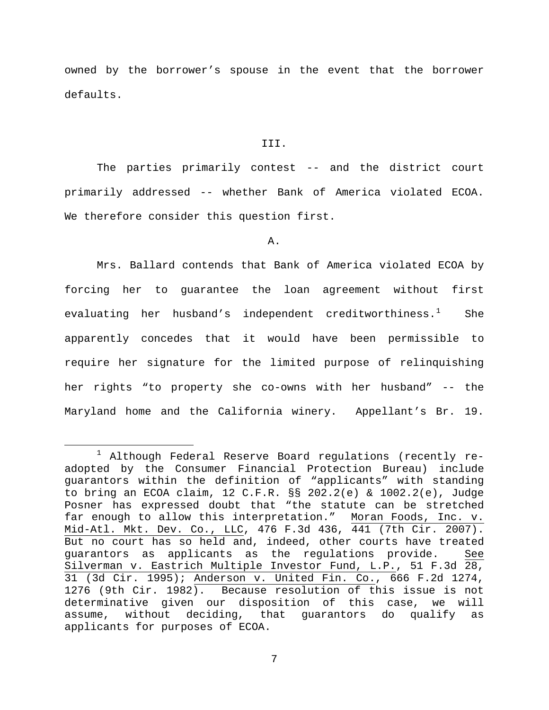owned by the borrower's spouse in the event that the borrower defaults.

### III.

The parties primarily contest -- and the district court primarily addressed -- whether Bank of America violated ECOA. We therefore consider this question first.

# A.

Mrs. Ballard contends that Bank of America violated ECOA by forcing her to guarantee the loan agreement without first evaluating her husband's independent creditworthiness.<sup>[1](#page-6-0)</sup> She apparently concedes that it would have been permissible to require her signature for the limited purpose of relinquishing her rights "to property she co-owns with her husband" -- the Maryland home and the California winery. Appellant's Br. 19.

<span id="page-6-0"></span> $1$  Although Federal Reserve Board regulations (recently readopted by the Consumer Financial Protection Bureau) include guarantors within the definition of "applicants" with standing to bring an ECOA claim, 12 C.F.R. §§ 202.2(e) & 1002.2(e), Judge Posner has expressed doubt that "the statute can be stretched far enough to allow this interpretation." Moran Foods, Inc. v. Mid-Atl. Mkt. Dev. Co., LLC, 476 F.3d 436, 441 (7th Cir. 2007). But no court has so held and, indeed, other courts have treated guarantors as applicants as the regulations provide. See Silverman v. Eastrich Multiple Investor Fund, L.P., 51 F.3d 28, 31 (3d Cir. 1995); Anderson v. United Fin. Co., 666 F.2d 1274, 1276 (9th Cir. 1982). Because resolution of this issue is not determinative given our disposition of this case, we will assume, without deciding, that guarantors do qualify as applicants for purposes of ECOA.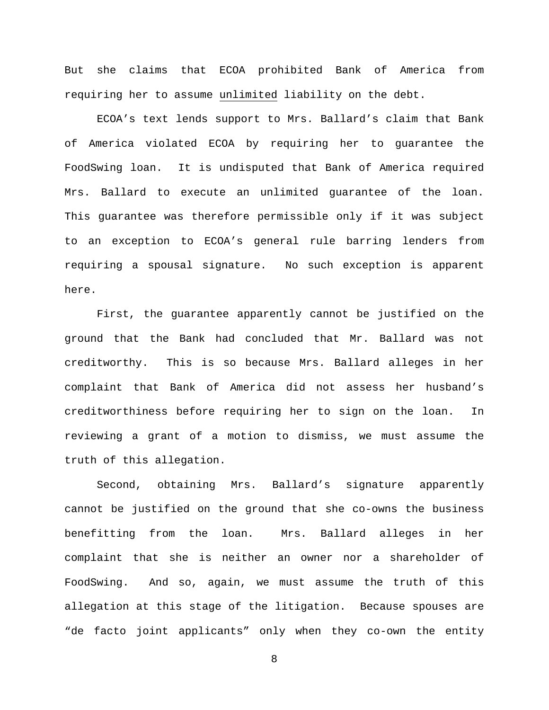But she claims that ECOA prohibited Bank of America from requiring her to assume unlimited liability on the debt.

ECOA's text lends support to Mrs. Ballard's claim that Bank of America violated ECOA by requiring her to guarantee the FoodSwing loan. It is undisputed that Bank of America required Mrs. Ballard to execute an unlimited guarantee of the loan. This guarantee was therefore permissible only if it was subject to an exception to ECOA's general rule barring lenders from requiring a spousal signature. No such exception is apparent here.

First, the guarantee apparently cannot be justified on the ground that the Bank had concluded that Mr. Ballard was not creditworthy. This is so because Mrs. Ballard alleges in her complaint that Bank of America did not assess her husband's creditworthiness before requiring her to sign on the loan. In reviewing a grant of a motion to dismiss, we must assume the truth of this allegation.

Second, obtaining Mrs. Ballard's signature apparently cannot be justified on the ground that she co-owns the business benefitting from the loan. Mrs. Ballard alleges in her complaint that she is neither an owner nor a shareholder of FoodSwing. And so, again, we must assume the truth of this allegation at this stage of the litigation. Because spouses are "de facto joint applicants" only when they co-own the entity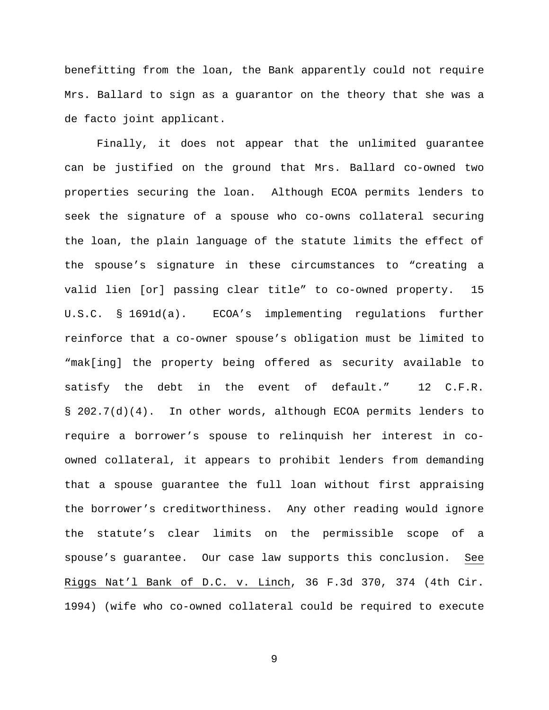benefitting from the loan, the Bank apparently could not require Mrs. Ballard to sign as a guarantor on the theory that she was a de facto joint applicant.

Finally, it does not appear that the unlimited guarantee can be justified on the ground that Mrs. Ballard co-owned two properties securing the loan. Although ECOA permits lenders to seek the signature of a spouse who co-owns collateral securing the loan, the plain language of the statute limits the effect of the spouse's signature in these circumstances to "creating a valid lien [or] passing clear title" to co-owned property. 15 U.S.C. § 1691d(a). ECOA's implementing regulations further reinforce that a co-owner spouse's obligation must be limited to "mak[ing] the property being offered as security available to satisfy the debt in the event of default." 12 C.F.R. § 202.7(d)(4). In other words, although ECOA permits lenders to require a borrower's spouse to relinquish her interest in coowned collateral, it appears to prohibit lenders from demanding that a spouse guarantee the full loan without first appraising the borrower's creditworthiness. Any other reading would ignore the statute's clear limits on the permissible scope of a spouse's guarantee. Our case law supports this conclusion. See Riggs Nat'l Bank of D.C. v. Linch, 36 F.3d 370, 374 (4th Cir. 1994) (wife who co-owned collateral could be required to execute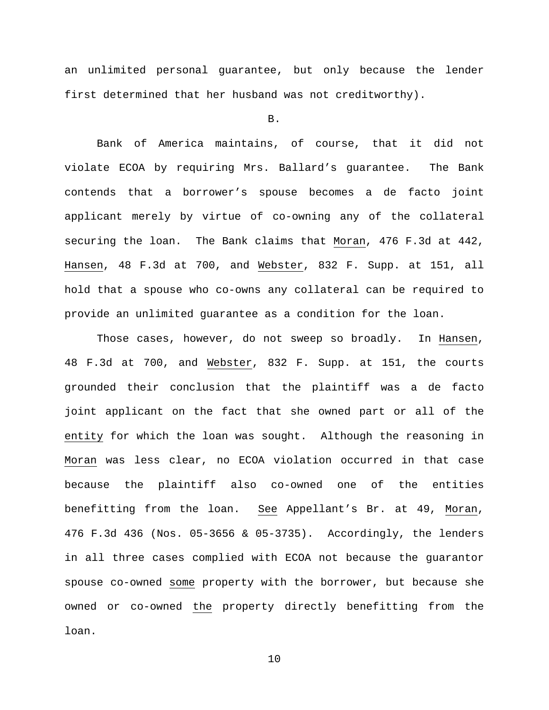an unlimited personal guarantee, but only because the lender first determined that her husband was not creditworthy).

## B.

Bank of America maintains, of course, that it did not violate ECOA by requiring Mrs. Ballard's guarantee. The Bank contends that a borrower's spouse becomes a de facto joint applicant merely by virtue of co-owning any of the collateral securing the loan. The Bank claims that Moran, 476 F.3d at 442, Hansen, 48 F.3d at 700, and Webster, 832 F. Supp. at 151, all hold that a spouse who co-owns any collateral can be required to provide an unlimited guarantee as a condition for the loan.

Those cases, however, do not sweep so broadly. In Hansen, 48 F.3d at 700, and Webster, 832 F. Supp. at 151, the courts grounded their conclusion that the plaintiff was a de facto joint applicant on the fact that she owned part or all of the entity for which the loan was sought. Although the reasoning in Moran was less clear, no ECOA violation occurred in that case because the plaintiff also co-owned one of the entities benefitting from the loan. See Appellant's Br. at 49, Moran, 476 F.3d 436 (Nos. 05-3656 & 05-3735). Accordingly, the lenders in all three cases complied with ECOA not because the guarantor spouse co-owned some property with the borrower, but because she owned or co-owned the property directly benefitting from the loan.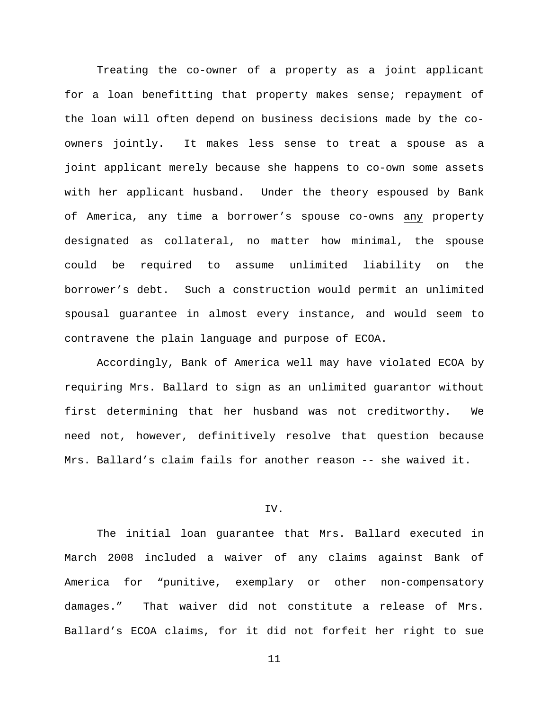Treating the co-owner of a property as a joint applicant for a loan benefitting that property makes sense; repayment of the loan will often depend on business decisions made by the coowners jointly. It makes less sense to treat a spouse as a joint applicant merely because she happens to co-own some assets with her applicant husband. Under the theory espoused by Bank of America, any time a borrower's spouse co-owns any property designated as collateral, no matter how minimal, the spouse could be required to assume unlimited liability on the borrower's debt. Such a construction would permit an unlimited spousal guarantee in almost every instance, and would seem to contravene the plain language and purpose of ECOA.

Accordingly, Bank of America well may have violated ECOA by requiring Mrs. Ballard to sign as an unlimited guarantor without first determining that her husband was not creditworthy. We need not, however, definitively resolve that question because Mrs. Ballard's claim fails for another reason -- she waived it.

## IV.

The initial loan guarantee that Mrs. Ballard executed in March 2008 included a waiver of any claims against Bank of America for "punitive, exemplary or other non-compensatory damages." That waiver did not constitute a release of Mrs. Ballard's ECOA claims, for it did not forfeit her right to sue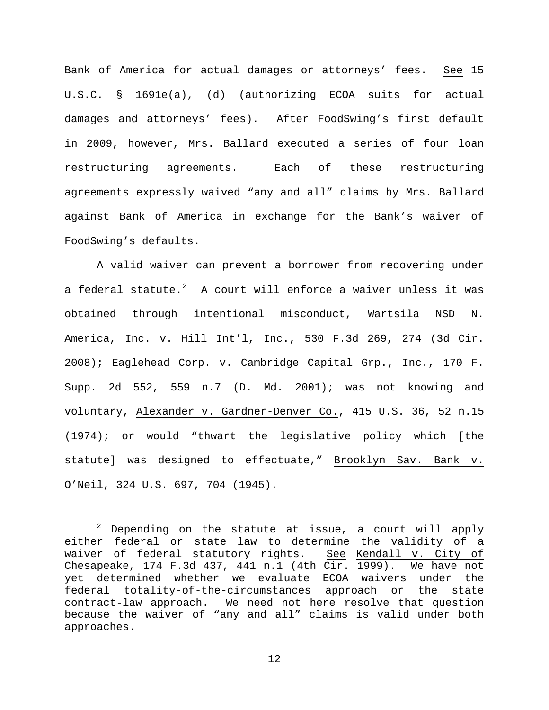Bank of America for actual damages or attorneys' fees. See 15 U.S.C. § 1691e(a), (d) (authorizing ECOA suits for actual damages and attorneys' fees). After FoodSwing's first default in 2009, however, Mrs. Ballard executed a series of four loan restructuring agreements. Each of these restructuring agreements expressly waived "any and all" claims by Mrs. Ballard against Bank of America in exchange for the Bank's waiver of FoodSwing's defaults.

A valid waiver can prevent a borrower from recovering under a federal statute. $^2$  $^2$  A court will enforce a waiver unless it was obtained through intentional misconduct, Wartsila NSD N. America, Inc. v. Hill Int'l, Inc., 530 F.3d 269, 274 (3d Cir. 2008); Eaglehead Corp. v. Cambridge Capital Grp., Inc., 170 F. Supp. 2d 552, 559 n.7 (D. Md. 2001); was not knowing and voluntary, Alexander v. Gardner-Denver Co., 415 U.S. 36, 52 n.15 (1974); or would "thwart the legislative policy which [the statute] was designed to effectuate," Brooklyn Sav. Bank v. O'Neil, 324 U.S. 697, 704 (1945).

<span id="page-11-0"></span> $2$  Depending on the statute at issue, a court will apply either federal or state law to determine the validity of a waiver of federal statutory rights. See Kendall v. City of Chesapeake, 174 F.3d 437, 441 n.1 (4th Cir. 1999). We have not yet determined whether we evaluate ECOA waivers under the federal totality-of-the-circumstances approach or the state contract-law approach. We need not here resolve that question because the waiver of "any and all" claims is valid under both approaches.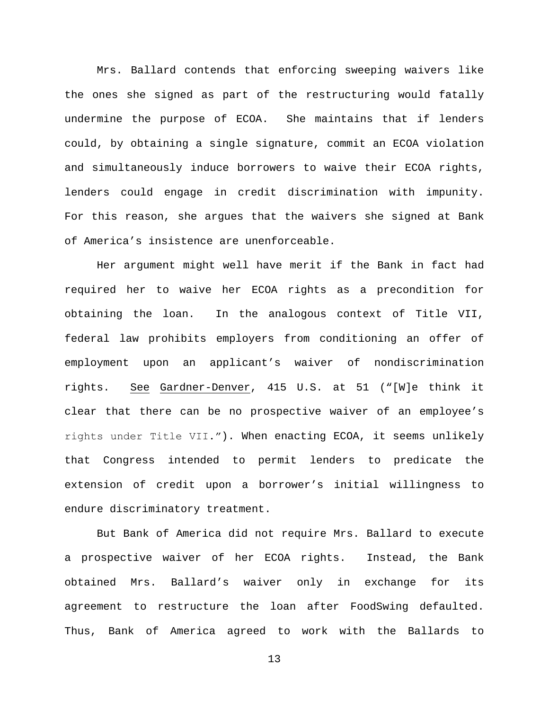Mrs. Ballard contends that enforcing sweeping waivers like the ones she signed as part of the restructuring would fatally undermine the purpose of ECOA. She maintains that if lenders could, by obtaining a single signature, commit an ECOA violation and simultaneously induce borrowers to waive their ECOA rights, lenders could engage in credit discrimination with impunity. For this reason, she argues that the waivers she signed at Bank of America's insistence are unenforceable.

Her argument might well have merit if the Bank in fact had required her to waive her ECOA rights as a precondition for obtaining the loan. In the analogous context of Title VII, federal law prohibits employers from conditioning an offer of employment upon an applicant's waiver of nondiscrimination rights. See Gardner-Denver, 415 U.S. at 51 ("[W]e think it clear that there can be no prospective waiver of an employee's rights under Title VII.ˮ). When enacting ECOA, it seems unlikely that Congress intended to permit lenders to predicate the extension of credit upon a borrower's initial willingness to endure discriminatory treatment.

But Bank of America did not require Mrs. Ballard to execute a prospective waiver of her ECOA rights. Instead, the Bank obtained Mrs. Ballard's waiver only in exchange for its agreement to restructure the loan after FoodSwing defaulted. Thus, Bank of America agreed to work with the Ballards to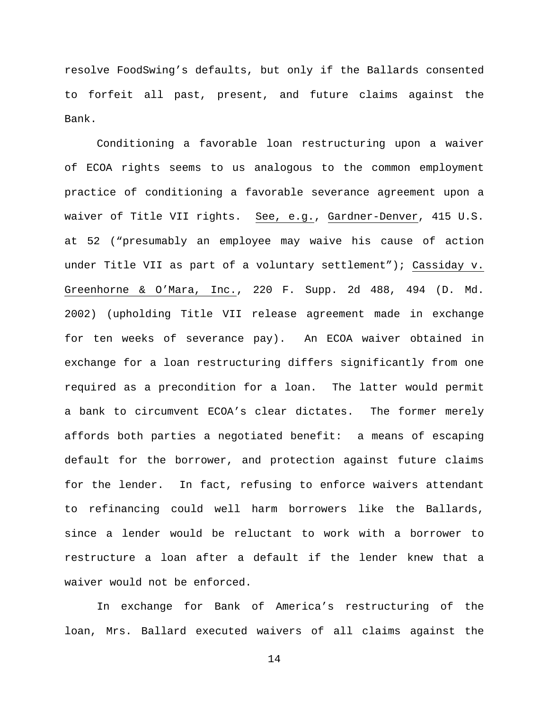resolve FoodSwing's defaults, but only if the Ballards consented to forfeit all past, present, and future claims against the Bank.

Conditioning a favorable loan restructuring upon a waiver of ECOA rights seems to us analogous to the common employment practice of conditioning a favorable severance agreement upon a waiver of Title VII rights. See, e.g., Gardner-Denver, 415 U.S. at 52 ("presumably an employee may waive his cause of action under Title VII as part of a voluntary settlement"); Cassiday v. Greenhorne & O'Mara, Inc., 220 F. Supp. 2d 488, 494 (D. Md. 2002) (upholding Title VII release agreement made in exchange for ten weeks of severance pay). An ECOA waiver obtained in exchange for a loan restructuring differs significantly from one required as a precondition for a loan. The latter would permit a bank to circumvent ECOA's clear dictates. The former merely affords both parties a negotiated benefit: a means of escaping default for the borrower, and protection against future claims for the lender. In fact, refusing to enforce waivers attendant to refinancing could well harm borrowers like the Ballards, since a lender would be reluctant to work with a borrower to restructure a loan after a default if the lender knew that a waiver would not be enforced.

In exchange for Bank of America's restructuring of the loan, Mrs. Ballard executed waivers of all claims against the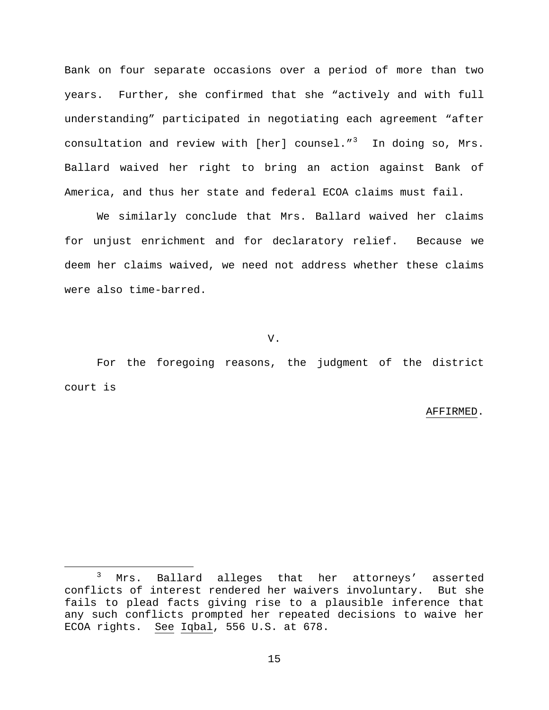Bank on four separate occasions over a period of more than two years. Further, she confirmed that she "actively and with full understanding" participated in negotiating each agreement "after consultation and review with [her] counsel."<sup>[3](#page-14-0)</sup> In doing so, Mrs. Ballard waived her right to bring an action against Bank of America, and thus her state and federal ECOA claims must fail.

We similarly conclude that Mrs. Ballard waived her claims for unjust enrichment and for declaratory relief. Because we deem her claims waived, we need not address whether these claims were also time-barred.

V.

For the foregoing reasons, the judgment of the district court is

#### AFFIRMED.

<span id="page-14-0"></span><sup>&</sup>lt;sup>3</sup> Mrs. Ballard alleges that her attorneys' asserted conflicts of interest rendered her waivers involuntary. But she fails to plead facts giving rise to a plausible inference that any such conflicts prompted her repeated decisions to waive her ECOA rights. See Iqbal, 556 U.S. at 678.